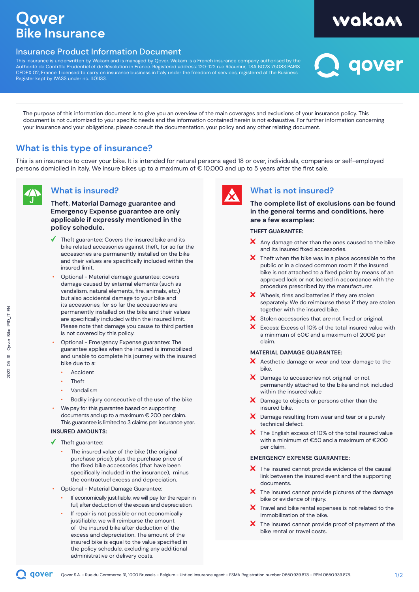### **Qover Bike Insurance**

#### Insurance Product Information Document

This insurance is underwritten by Wakam and is managed by Qover. Wakam is a French insurance company authorised by the Authorité de Contrôle Prudentiel et de Résolution in France. Registered address: 120-122 rue Réaumur, TSA 6023 75083 PARIS CEDEX 02, France. Licensed to carry on insurance business in Italy under the freedom of services, registered at the Business Register kept by IVASS under no. II.01133.

# wakam<br>2 qover

The purpose of this information document is to give you an overview of the main coverages and exclusions of your insurance policy. This document is not customized to your specific needs and the information contained herein is not exhaustive. For further information concerning your insurance and your obligations, please consult the documentation, your policy and any other relating document.

#### **What is this type of insurance?**

This is an insurance to cover your bike. It is intended for natural persons aged 18 or over, individuals, companies or self-employed persons domiciled in Italy. We insure bikes up to a maximum of € 10.000 and up to 5 years after the first sale.



#### **What is insured?**

**Theft, Material Damage guarantee and Emergency Expense guarantee are only applicable if expressly mentioned in the policy schedule.**

- Theft guarantee: Covers the insured bike and its bike related accessories against theft, for so far the accessories are permanently installed on the bike and their values are specifically included within the insured limit.
- Optional Material damage guarantee: covers damage caused by external elements (such as vandalism, natural elements, fire, animals, etc.) but also accidental damage to your bike and its accessories, for so far the accessories are permanently installed on the bike and their values are specifically included within the insured limit. Please note that damage you cause to third parties is not covered by this policy.
- Optional Emergency Expense guarantee: The guarantee applies when the insured is immobilized and unable to complete his journey with the insured bike due to a:
	- Accident
	- Theft
	- Vandalism
	- Bodily injury consecutive of the use of the bike
- We pay for this guarantee based on supporting documents and up to a maximum € 200 per claim. This guarantee is limited to 3 claims per insurance year.

#### **INSURED AMOUNTS:**

- Theft guarantee:
	- The insured value of the bike (the original purchase price); plus the purchase price of the fixed bike accessories (that have been specifically included in the insurance), minus the contractuel excess and depreciation.
- Optional Material Damage Guarantee:
	- If economically justifiable, we will pay for the repair in full, after deduction of the excess and depreciation.
	- If repair is not possible or not economically justifiable, we will reimburse the amount of the insured bike after deduction of the excess and depreciation. The amount of the insured bike is equal to the value specified in the policy schedule, excluding any additional administrative or delivery costs.



#### **What is not insured?**

**The complete list of exclusions can be found in the general terms and conditions, here are a few examples:**

#### **THEFT GUARANTEE:**

- $\boldsymbol{\times}$  Any damage other than the ones caused to the bike and its insured fixed accessories.
- $\boldsymbol{\times}$  Theft when the bike was in a place accessible to the public or in a closed common room if the insured bike is not attached to a fixed point by means of an approved lock or not locked in accordance with the procedure prescribed by the manufacturer.
- $\boldsymbol{\times}$  Wheels, tires and batteries if they are stolen separately. We do reimburse these if they are stolen together with the insured bike.
- X Stolen accessories that are not fixed or original.
- Excess: Excess of 10% of the total insured value with a minimum of 50€ and a maximum of 200€ per claim.

#### **MATERIAL DAMAGE GUARANTEE:**

- $\boldsymbol{X}$  Aesthetic damage or wear and tear damage to the bike.
- X Damage to accessories not original or not permanently attached to the bike and not included within the insured value
- $\boldsymbol{\times}$  Damage to objects or persons other than the insured bike.
- X Damage resulting from wear and tear or a purely technical defect.
- $\boldsymbol{\times}$  The English excess of 10% of the total insured value with a minimum of €50 and a maximum of €200 per claim.

#### **EMERGENCY EXPENSE GUARANTEE:**

- $\boldsymbol{X}$  The insured cannot provide evidence of the causal link between the insured event and the supporting documents.
- $\boldsymbol{X}$  The insured cannot provide pictures of the damage bike or evidence of injury.
- X Travel and bike rental expenses is not related to the immobilization of the bike.
- $\boldsymbol{\times}$  The insured cannot provide proof of payment of the bike rental or travel costs.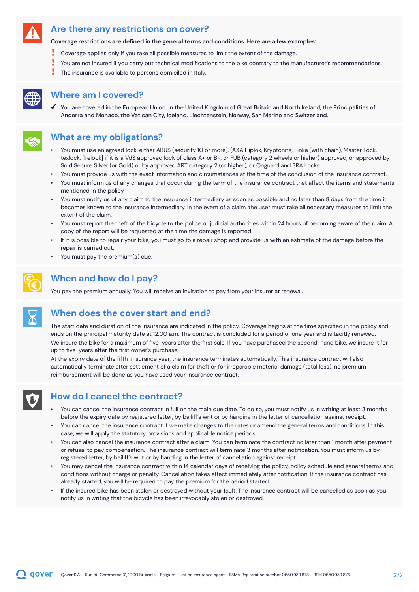#### **Are there any restrictions on cover?**

#### **Coverage restrictions are defined in the general terms and conditions. Here are a few examples:**

- Ţ Coverage applies only if you take all possible measures to limit the extent of the damage.
- You are not insured if you carry out technical modifications to the bike contrary to the manufacturer's recommendations.
- The insurance is available to persons domiciled in Italy.



#### **Where am I covered?**

You are covered in the European Union, in the United Kingdom of Great Britain and North Ireland, the Principalities of Andorra and Monaco, the Vatican City, Iceland, Liechtenstein, Norway, San Marino and Switzerland.

#### **What are my obligations?**

- You must use an agreed lock, either ABUS (security 10 or more), [AXA Hiplok, Kryptonite, Linka (with chain), Master Lock, texlock, Trelock] if it is a VdS approved lock of class A+ or B+, or FUB (category 2 wheels or higher) approved, or approved by Sold Secure Silver (or Gold) or by approved ART category 2 (or higher), or Onguard and SRA Locks.
- You must provide us with the exact information and circumstances at the time of the conclusion of the insurance contract.
- You must inform us of any changes that occur during the term of the insurance contract that affect the items and statements mentioned in the policy.
- You must notify us of any claim to the insurance intermediary as soon as possible and no later than 8 days from the time it becomes known to the insurance intermediary. In the event of a claim, the user must take all necessary measures to limit the extent of the claim.
- You must report the theft of the bicycle to the police or judicial authorities within 24 hours of becoming aware of the claim. A copy of the report will be requested at the time the damage is reported.
- If it is possible to repair your bike, you must go to a repair shop and provide us with an estimate of the damage before the repair is carried out.
- You must pay the premium(s) due.



#### **When and how do I pay?**

You pay the premium annually. You will receive an invitation to pay from your insurer at renewal.



#### **When does the cover start and end?**

The start date and duration of the insurance are indicated in the policy. Coverage begins at the time specified in the policy and ends on the principal maturity date at 12:00 a.m. The contract is concluded for a period of one year and is tacitly renewed. We insure the bike for a maximum of five years after the first sale. If you have purchased the second-hand bike, we insure it for up to five years after the first owner's purchase.

At the expiry date of the fifth insurance year, the insurance terminates automatically. This insurance contract will also automatically terminate after settlement of a claim for theft or for irreparable material damage (total loss), no premium reimbursement will be done as you have used your insurance contract.



#### **How do I cancel the contract?**

- You can cancel the insurance contract in full on the main due date. To do so, you must notify us in writing at least 3 months before the expiry date by registered letter, by bailiff's writ or by handing in the letter of cancellation against receipt.
- You can cancel the insurance contract if we make changes to the rates or amend the general terms and conditions. In this case, we will apply the statutory provisions and applicable notice periods.
- You can also cancel the insurance contract after a claim. You can terminate the contract no later than 1 month after payment or refusal to pay compensation. The insurance contract will terminate 3 months after notification. You must inform us by registered letter, by bailiff's writ or by handing in the letter of cancellation against receipt.
- You may cancel the insurance contract within 14 calendar days of receiving the policy, policy schedule and general terms and conditions without charge or penalty. Cancellation takes effect immediately after notification. If the insurance contract has already started, you will be required to pay the premium for the period started.
- If the insured bike has been stolen or destroyed without your fault. The insurance contract will be cancelled as soon as you notify us in writing that the bicycle has been irrevocably stolen or destroyed.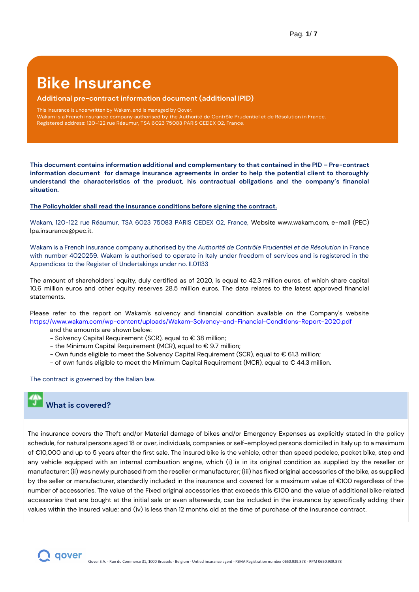### **Bike Insurance**

#### **Additional pre-contract information document (additional IPID)**

This insurance is underwritten by Wakam, and is managed by Qover.

Wakam is a French insurance company authorised by the Authorité de Contrôle Prudentiel et de Résolution in France.

Registered address: 120-122 rue Réaumur, TSA 6023 75083 PARIS CEDEX 02, France.

**This document contains information additional and complementary to that contained in the PID – Pre-contract information document for damage insurance agreements in order to help the potential client to thoroughly understand the characteristics of the product, his contractual obligations and the company's financial situation.**

#### **The Policyholder shall read the insurance conditions before signing the contract.**

Wakam, 120-122 rue Réaumur, TSA 6023 75083 PARIS CEDEX 02, France, Website www.wakam.com, e-mail (PEC) lpa.insurance@pec.it.

Wakam is a French insurance company authorised by the *Authorité de Contrôle Prudentiel et de Résolution* in France with number 4020259. Wakam is authorised to operate in Italy under freedom of services and is registered in the Appendices to the Register of Undertakings under no. II.01133

The amount of shareholders' equity, duly certified as of 2020, is equal to 42.3 million euros, of which share capital 10,6 million euros and other equity reserves 28.5 million euros. The data relates to the latest approved financial statements.

Please refer to the report on Wakam's solvency and financial condition available on the Company's website https://www.wakam.com/wp-content/uploads/Wakam-Solvency-and-Financial-Conditions-Report-2020.pdf

- and the amounts are shown below:
- Solvency Capital Requirement (SCR), equal to € 38 million;
- the Minimum Capital Requirement (MCR), equal to  $\epsilon$  9.7 million;
- Own funds eligible to meet the Solvency Capital Requirement (SCR), equal to € 61.3 million;
- of own funds eligible to meet the Minimum Capital Requirement (MCR), equal to € 44.3 million.

The contract is governed by the Italian law.

#### **What is covered?**

The insurance covers the Theft and/or Material damage of bikes and/or Emergency Expenses as explicitly stated in the policy schedule, for natural persons aged 18 or over, individuals, companies or self-employed persons domiciled in Italy up to a maximum of €10,000 and up to 5 years after the first sale. The insured bike is the vehicle, other than speed pedelec, pocket bike, step and any vehicle equipped with an internal combustion engine, which (i) is in its original condition as supplied by the reseller or manufacturer; (ii) was newly purchased from the reseller or manufacturer; (iii) has fixed original accessories of the bike, as supplied by the seller or manufacturer, standardly included in the insurance and covered for a maximum value of €100 regardless of the number of accessories. The value of the Fixed original accessories that exceeds this €100 and the value of additional bike related accessories that are bought at the initial sale or even afterwards, can be included in the insurance by specifically adding their values within the insured value; and (iv) is less than 12 months old at the time of purchase of the insurance contract.

 $\bigcap$  qover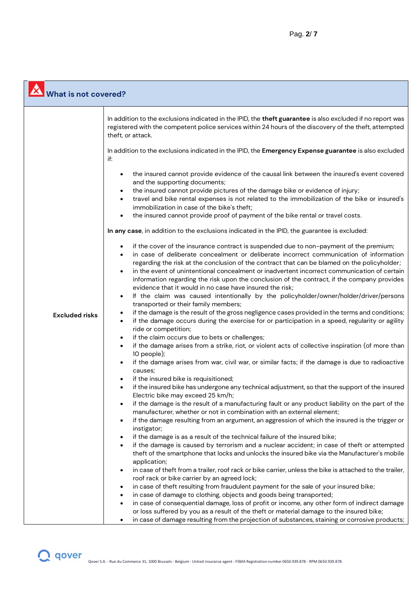| What is not covered?  |                                                                                                                                                                                                                                                                                                                                                                                                                                                                                                                                                                                                                                                               |
|-----------------------|---------------------------------------------------------------------------------------------------------------------------------------------------------------------------------------------------------------------------------------------------------------------------------------------------------------------------------------------------------------------------------------------------------------------------------------------------------------------------------------------------------------------------------------------------------------------------------------------------------------------------------------------------------------|
|                       | In addition to the exclusions indicated in the IPID, the theft guarantee is also excluded if no report was<br>registered with the competent police services within 24 hours of the discovery of the theft, attempted<br>theft, or attack.                                                                                                                                                                                                                                                                                                                                                                                                                     |
|                       | In addition to the exclusions indicated in the IPID, the Emergency Expense guarantee is also excluded<br>if:                                                                                                                                                                                                                                                                                                                                                                                                                                                                                                                                                  |
|                       | the insured cannot provide evidence of the causal link between the insured's event covered<br>and the supporting documents;<br>the insured cannot provide pictures of the damage bike or evidence of injury;<br>travel and bike rental expenses is not related to the immobilization of the bike or insured's<br>$\bullet$<br>immobilization in case of the bike's theft;<br>the insured cannot provide proof of payment of the bike rental or travel costs.                                                                                                                                                                                                  |
|                       | In any case, in addition to the exclusions indicated in the IPID, the guarantee is excluded:                                                                                                                                                                                                                                                                                                                                                                                                                                                                                                                                                                  |
|                       | if the cover of the insurance contract is suspended due to non-payment of the premium;<br>$\bullet$<br>in case of deliberate concealment or deliberate incorrect communication of information<br>regarding the risk at the conclusion of the contract that can be blamed on the policyholder;<br>in the event of unintentional concealment or inadvertent incorrect communication of certain<br>information regarding the risk upon the conclusion of the contract, if the company provides<br>evidence that it would in no case have insured the risk;<br>If the claim was caused intentionally by the policyholder/owner/holder/driver/persons<br>$\bullet$ |
| <b>Excluded risks</b> | transported or their family members;<br>if the damage is the result of the gross negligence cases provided in the terms and conditions;<br>٠<br>if the damage occurs during the exercise for or participation in a speed, regularity or agility<br>$\bullet$<br>ride or competition;                                                                                                                                                                                                                                                                                                                                                                          |
|                       | if the claim occurs due to bets or challenges;                                                                                                                                                                                                                                                                                                                                                                                                                                                                                                                                                                                                                |
|                       | if the damage arises from a strike, riot, or violent acts of collective inspiration (of more than<br>$\bullet$<br>10 people);                                                                                                                                                                                                                                                                                                                                                                                                                                                                                                                                 |
|                       | if the damage arises from war, civil war, or similar facts; if the damage is due to radioactive<br>$\bullet$<br>causes;                                                                                                                                                                                                                                                                                                                                                                                                                                                                                                                                       |
|                       | if the insured bike is requisitioned;<br>if the insured bike has undergone any technical adjustment, so that the support of the insured<br>Electric bike may exceed 25 km/h;                                                                                                                                                                                                                                                                                                                                                                                                                                                                                  |
|                       | if the damage is the result of a manufacturing fault or any product liability on the part of the<br>manufacturer, whether or not in combination with an external element;                                                                                                                                                                                                                                                                                                                                                                                                                                                                                     |
|                       | if the damage resulting from an argument, an aggression of which the insured is the trigger or<br>instigator;                                                                                                                                                                                                                                                                                                                                                                                                                                                                                                                                                 |
|                       | if the damage is as a result of the technical failure of the insured bike;                                                                                                                                                                                                                                                                                                                                                                                                                                                                                                                                                                                    |
|                       | if the damage is caused by terrorism and a nuclear accident; in case of theft or attempted<br>theft of the smartphone that locks and unlocks the insured bike via the Manufacturer's mobile<br>application;                                                                                                                                                                                                                                                                                                                                                                                                                                                   |
|                       | in case of theft from a trailer, roof rack or bike carrier, unless the bike is attached to the trailer,<br>roof rack or bike carrier by an agreed lock;                                                                                                                                                                                                                                                                                                                                                                                                                                                                                                       |
|                       | in case of theft resulting from fraudulent payment for the sale of your insured bike;                                                                                                                                                                                                                                                                                                                                                                                                                                                                                                                                                                         |
|                       | in case of damage to clothing, objects and goods being transported;<br>in case of consequential damage, loss of profit or income, any other form of indirect damage                                                                                                                                                                                                                                                                                                                                                                                                                                                                                           |
|                       | or loss suffered by you as a result of the theft or material damage to the insured bike;<br>in case of damage resulting from the projection of substances, staining or corrosive products;<br>$\bullet$                                                                                                                                                                                                                                                                                                                                                                                                                                                       |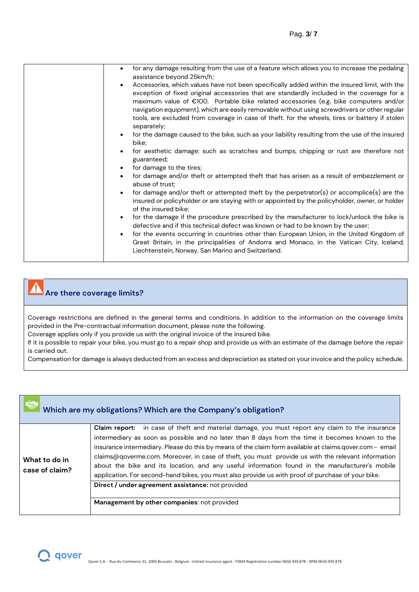| $\bullet$ | for any damage resulting from the use of a feature which allows you to increase the pedaling                                                                                                                                                                                        |
|-----------|-------------------------------------------------------------------------------------------------------------------------------------------------------------------------------------------------------------------------------------------------------------------------------------|
|           | assistance beyond 25km/h;                                                                                                                                                                                                                                                           |
|           | Accessories, which values have not been specifically added within the insured limit, with the<br>exception of fixed original accessories that are standardly included in the coverage for a<br>maximum value of €100. Portable bike related accessories (e.g. bike computers and/or |
|           | navigation equipment), which are easily removable without using screwdrivers or other regular<br>tools, are excluded from coverage in case of theft. for the wheels, tires or battery if stolen<br>separately;                                                                      |
|           | for the damage caused to the bike, such as your liability resulting from the use of the insured<br>bike;                                                                                                                                                                            |
|           | for aesthetic damage: such as scratches and bumps, chipping or rust are therefore not<br>guaranteed;                                                                                                                                                                                |
|           | for damage to the tires;                                                                                                                                                                                                                                                            |
|           | for damage and/or theft or attempted theft that has arisen as a result of embezzlement or<br>abuse of trust;                                                                                                                                                                        |
|           | for damage and/or theft or attempted theft by the perpetrator(s) or accomplice(s) are the<br>insured or policyholder or are staying with or appointed by the policyholder, owner, or holder<br>of the insured bike;                                                                 |
|           | for the damage if the procedure prescribed by the manufacturer to lock/unlock the bike is<br>defective and if this technical defect was known or had to be known by the user;                                                                                                       |
|           | for the events occurring in countries other than European Union, in the United Kingdom of<br>Great Britain, in the principalities of Andorra and Monaco, in the Vatican City, Iceland,<br>Liechtenstein, Norway, San Marino and Switzerland.                                        |
|           |                                                                                                                                                                                                                                                                                     |

#### $\mathbf{r}$ **Are there coverage limits?**

Coverage restrictions are defined in the general terms and conditions. In addition to the information on the coverage limits provided in the Pre-contractual information document, please note the following.

Coverage applies only if you provide us with the original invoice of the insured bike.

If it is possible to repair your bike, you must go to a repair shop and provide us with an estimate of the damage before the repair is carried out.

Compensation for damage is always deducted from an excess and depreciation as stated on your invoice and the policy schedule.

|                                 | Which are my obligations? Which are the Company's obligation?                                                                                                                                                                                                                                                                                                                                                                                                                                                                                                                                                            |
|---------------------------------|--------------------------------------------------------------------------------------------------------------------------------------------------------------------------------------------------------------------------------------------------------------------------------------------------------------------------------------------------------------------------------------------------------------------------------------------------------------------------------------------------------------------------------------------------------------------------------------------------------------------------|
| What to do in<br>case of claim? | Claim report: in case of theft and material damage, you must report any claim to the insurance<br>intermediary as soon as possible and no later than 8 days from the time it becomes known to the<br>insurance intermediary. Please do this by means of the claim form available at claims.qover.com - email<br>claims@qoverme.com. Moreover, in case of theft, you must provide us with the relevant information<br>about the bike and its location, and any useful information found in the manufacturer's mobile<br>application. For second-hand bikes, you must also provide us with proof of purchase of your bike. |
|                                 | Direct / under agreement assistance: not provided<br>Management by other companies: not provided                                                                                                                                                                                                                                                                                                                                                                                                                                                                                                                         |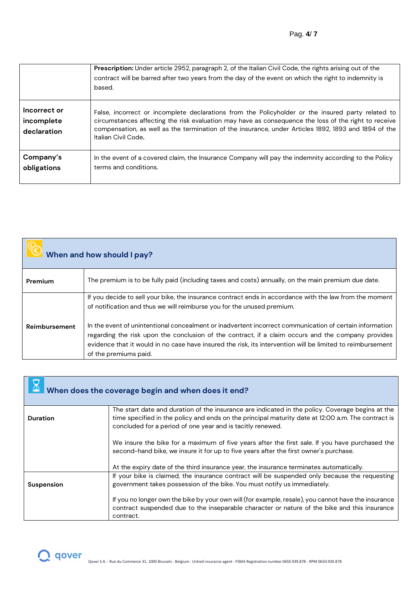|                                           | Prescription: Under article 2952, paragraph 2, of the Italian Civil Code, the rights arising out of the<br>contract will be barred after two years from the day of the event on which the right to indemnity is<br>based.                                                                                                                |
|-------------------------------------------|------------------------------------------------------------------------------------------------------------------------------------------------------------------------------------------------------------------------------------------------------------------------------------------------------------------------------------------|
| Incorrect or<br>incomplete<br>declaration | False, incorrect or incomplete declarations from the Policyholder or the insured party related to<br>circumstances affecting the risk evaluation may have as consequence the loss of the right to receive<br>compensation, as well as the termination of the insurance, under Articles 1892, 1893 and 1894 of the<br>Italian Civil Code. |
| Company's<br>obligations                  | In the event of a covered claim, the Insurance Company will pay the indemnity according to the Policy<br>terms and conditions.                                                                                                                                                                                                           |

| When and how should I pay? |                                                                                                                                                                                                                                                                                                                                                                                                                                                                                                                                           |
|----------------------------|-------------------------------------------------------------------------------------------------------------------------------------------------------------------------------------------------------------------------------------------------------------------------------------------------------------------------------------------------------------------------------------------------------------------------------------------------------------------------------------------------------------------------------------------|
| Premium                    | The premium is to be fully paid (including taxes and costs) annually, on the main premium due date.                                                                                                                                                                                                                                                                                                                                                                                                                                       |
| Reimbursement              | If you decide to sell your bike, the insurance contract ends in accordance with the law from the moment<br>of notification and thus we will reimburse you for the unused premium.<br>In the event of unintentional concealment or inadvertent incorrect communication of certain information<br>regarding the risk upon the conclusion of the contract, if a claim occurs and the company provides<br>evidence that it would in no case have insured the risk, its intervention will be limited to reimbursement<br>of the premiums paid. |

| When does the coverage begin and when does it end? |                                                                                                                                                                                                                                                                      |
|----------------------------------------------------|----------------------------------------------------------------------------------------------------------------------------------------------------------------------------------------------------------------------------------------------------------------------|
| Duration                                           | The start date and duration of the insurance are indicated in the policy. Coverage begins at the<br>time specified in the policy and ends on the principal maturity date at 12:00 a.m. The contract is<br>concluded for a period of one year and is tacitly renewed. |
|                                                    | We insure the bike for a maximum of five years after the first sale. If you have purchased the<br>second-hand bike, we insure it for up to five years after the first owner's purchase.                                                                              |
|                                                    | At the expiry date of the third insurance year, the insurance terminates automatically.                                                                                                                                                                              |
| <b>Suspension</b>                                  | If your bike is claimed, the insurance contract will be suspended only because the requesting<br>government takes possession of the bike. You must notify us immediately.                                                                                            |
|                                                    | If you no longer own the bike by your own will (for example, resale), you cannot have the insurance<br>contract suspended due to the inseparable character or nature of the bike and this insurance<br>contract.                                                     |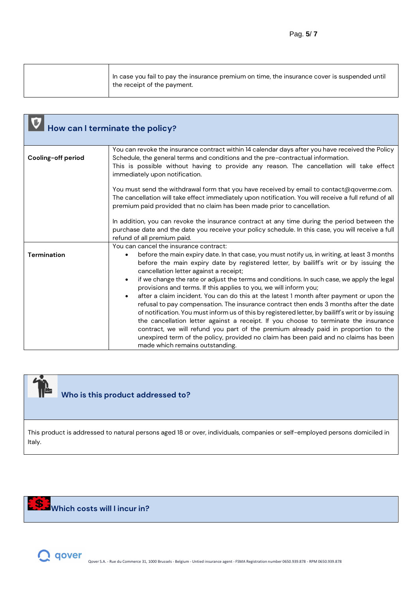| $^\mathrm{!}$ In case you fail to pay the insurance premium on time, the insurance cover is suspended until<br>the receipt of the payment. |
|--------------------------------------------------------------------------------------------------------------------------------------------|
|--------------------------------------------------------------------------------------------------------------------------------------------|

|                    | How can I terminate the policy?                                                                                                                                                                                                                                                                                                                                                                                                                                                                                                                                                                                                                                                                                                                                                                                                                                                                                                                                                                                                                                                      |
|--------------------|--------------------------------------------------------------------------------------------------------------------------------------------------------------------------------------------------------------------------------------------------------------------------------------------------------------------------------------------------------------------------------------------------------------------------------------------------------------------------------------------------------------------------------------------------------------------------------------------------------------------------------------------------------------------------------------------------------------------------------------------------------------------------------------------------------------------------------------------------------------------------------------------------------------------------------------------------------------------------------------------------------------------------------------------------------------------------------------|
| Cooling-off period | You can revoke the insurance contract within 14 calendar days after you have received the Policy<br>Schedule, the general terms and conditions and the pre-contractual information.<br>This is possible without having to provide any reason. The cancellation will take effect<br>immediately upon notification.                                                                                                                                                                                                                                                                                                                                                                                                                                                                                                                                                                                                                                                                                                                                                                    |
|                    | You must send the withdrawal form that you have received by email to contact@qoverme.com.<br>The cancellation will take effect immediately upon notification. You will receive a full refund of all<br>premium paid provided that no claim has been made prior to cancellation.                                                                                                                                                                                                                                                                                                                                                                                                                                                                                                                                                                                                                                                                                                                                                                                                      |
|                    | In addition, you can revoke the insurance contract at any time during the period between the<br>purchase date and the date you receive your policy schedule. In this case, you will receive a full<br>refund of all premium paid.                                                                                                                                                                                                                                                                                                                                                                                                                                                                                                                                                                                                                                                                                                                                                                                                                                                    |
| <b>Termination</b> | You can cancel the insurance contract:<br>before the main expiry date. In that case, you must notify us, in writing, at least 3 months<br>$\bullet$<br>before the main expiry date by registered letter, by bailiff's writ or by issuing the<br>cancellation letter against a receipt;<br>if we change the rate or adjust the terms and conditions. In such case, we apply the legal<br>$\bullet$<br>provisions and terms. If this applies to you, we will inform you;<br>after a claim incident. You can do this at the latest 1 month after payment or upon the<br>$\bullet$<br>refusal to pay compensation. The insurance contract then ends 3 months after the date<br>of notification. You must inform us of this by registered letter, by bailiff's writ or by issuing<br>the cancellation letter against a receipt. If you choose to terminate the insurance<br>contract, we will refund you part of the premium already paid in proportion to the<br>unexpired term of the policy, provided no claim has been paid and no claims has been<br>made which remains outstanding. |



## **Who is this product addressed to?**

This product is addressed to natural persons aged 18 or over, individuals, companies or self-employed persons domiciled in Italy.

## **Which costs will I incur in?**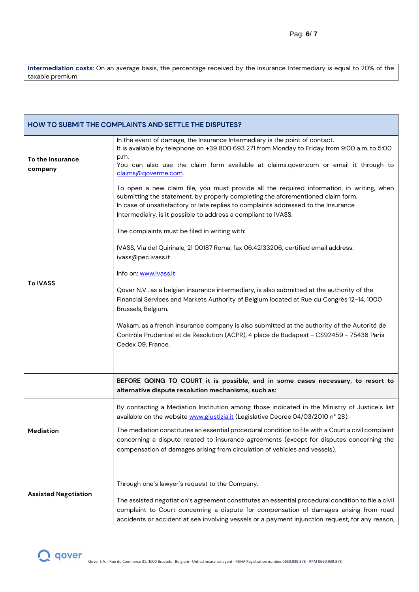**Intermediation costs:** On an average basis, the percentage received by the Insurance Intermediary is equal to 20% of the taxable premium

|                             | <b>HOW TO SUBMIT THE COMPLAINTS AND SETTLE THE DISPUTES?</b>                                                                                                                                                                                                                                                                                                                                                                                                                                                                                                                                                                                                                                                                                                               |  |
|-----------------------------|----------------------------------------------------------------------------------------------------------------------------------------------------------------------------------------------------------------------------------------------------------------------------------------------------------------------------------------------------------------------------------------------------------------------------------------------------------------------------------------------------------------------------------------------------------------------------------------------------------------------------------------------------------------------------------------------------------------------------------------------------------------------------|--|
| To the insurance<br>company | In the event of damage, the Insurance Intermediary is the point of contact.<br>It is available by telephone on +39 800 693 271 from Monday to Friday from 9:00 a.m. to 5:00<br>p.m.<br>You can also use the claim form available at claims.qover.com or email it through to<br>claims@qoverme.com.<br>To open a new claim file, you must provide all the required information, in writing, when<br>submitting the statement, by properly completing the aforementioned claim form.                                                                                                                                                                                                                                                                                         |  |
| <b>To IVASS</b>             | In case of unsatisfactory or late replies to complaints addressed to the Insurance<br>Intermediairy, is it possible to address a compliant to IVASS.<br>The complaints must be filed in writing with:<br>IVASS, Via del Quirinale, 21 00187 Roma, fax 06.42133206, certified email address:<br>ivass@pec.ivass.it<br>Info on: www.ivass.it<br>Qover N.V., as a belgian insurance intermediary, is also submitted at the authority of the<br>Financial Services and Markets Authority of Belgium located at Rue du Congrès 12-14, 1000<br>Brussels, Belgium.<br>Wakam, as a french insurance company is also submitted at the authority of the Autorité de<br>Contrôle Prudentiel et de Résolution (ACPR), 4 place de Budapest - CS92459 - 75436 Paris<br>Cedex 09, France. |  |
|                             | BEFORE GOING TO COURT it is possible, and in some cases necessary, to resort to<br>alternative dispute resolution mechanisms, such as:                                                                                                                                                                                                                                                                                                                                                                                                                                                                                                                                                                                                                                     |  |
| Mediation                   | By contacting a Mediation Institution among those indicated in the Ministry of Justice's list<br>available on the website www.giustizia.it (Legislative Decree 04/03/2010 n° 28).<br>The mediation constitutes an essential procedural condition to file with a Court a civil complaint<br>concerning a dispute related to insurance agreements (except for disputes concerning the<br>compensation of damages arising from circulation of vehicles and vessels).                                                                                                                                                                                                                                                                                                          |  |
| <b>Assisted Negotiation</b> | Through one's lawyer's request to the Company.<br>The assisted negotiation's agreement constitutes an essential procedural condition to file a civil<br>complaint to Court concerning a dispute for compensation of damages arising from road<br>accidents or accident at sea involving vessels or a payment injunction request, for any reason,                                                                                                                                                                                                                                                                                                                                                                                                                           |  |